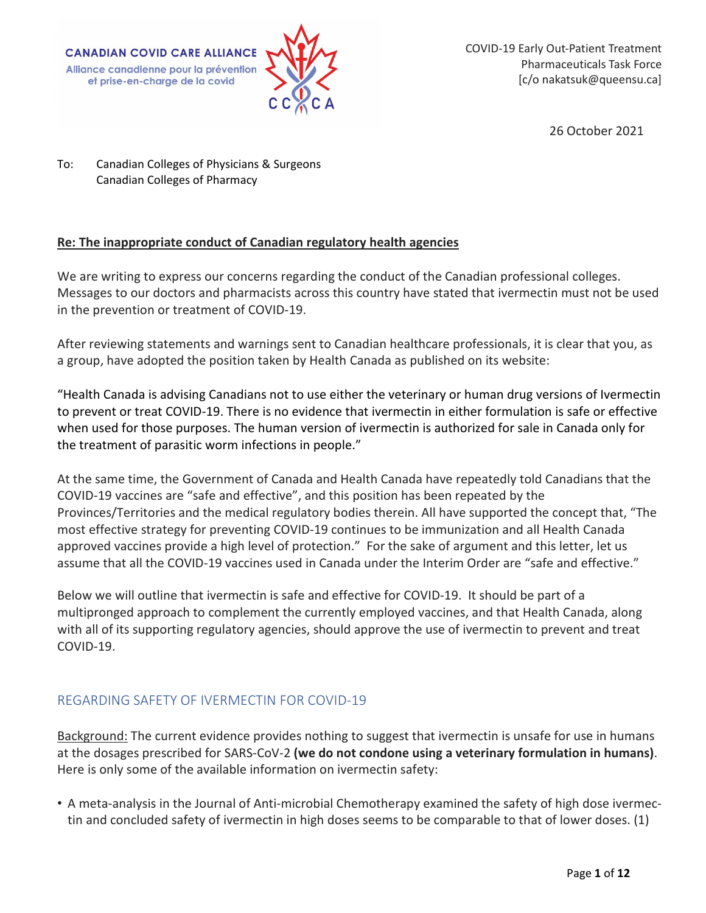**CANADIAN COVID CARE ALLIANCE** Alliance canadienne pour la prévention et prise-en-charge de la covid



COVID-19 Early Out-Patient Treatment Pharmaceuticals Task Force [c/o nakatsuk@queensu.ca]

26 October 2021

To: Canadian Colleges of Physicians & Surgeons Canadian Colleges of Pharmacy

### **Re: The inappropriate conduct of Canadian regulatory health agencies**

We are writing to express our concerns regarding the conduct of the Canadian professional colleges. Messages to our doctors and pharmacists across this country have stated that ivermectin must not be used in the prevention or treatment of COVID-19.

After reviewing statements and warnings sent to Canadian healthcare professionals, it is clear that you, as a group, have adopted the position taken by Health Canada as published on its website:

"Health Canada is advising Canadians not to use either the veterinary or human drug versions of Ivermectin to prevent or treat COVID-19. There is no evidence that ivermectin in either formulation is safe or effective when used for those purposes. The human version of ivermectin is authorized for sale in Canada only for the treatment of parasitic worm infections in people."

At the same time, the Government of Canada and Health Canada have repeatedly told Canadians that the COVID-19 vaccines are "safe and effective", and this position has been repeated by the Provinces/Territories and the medical regulatory bodies therein. All have supported the concept that, "The most effective strategy for preventing COVID-19 continues to be immunization and all Health Canada approved vaccines provide a high level of protection." For the sake of argument and this letter, let us assume that all the COVID-19 vaccines used in Canada under the Interim Order are "safe and effective."

Below we will outline that ivermectin is safe and effective for COVID-19. It should be part of a multipronged approach to complement the currently employed vaccines, and that Health Canada, along with all of its supporting regulatory agencies, should approve the use of ivermectin to prevent and treat COVID-19.

# REGARDING SAFETY OF IVERMECTIN FOR COVID-19

Background: The current evidence provides nothing to suggest that ivermectin is unsafe for use in humans at the dosages prescribed for SARS-CoV-2 **(we do not condone using a veterinary formulation in humans)**. Here is only some of the available information on ivermectin safety:

• A meta-analysis in the Journal of Anti-microbial Chemotherapy examined the safety of high dose ivermectin and concluded safety of ivermectin in high doses seems to be comparable to that of lower doses. (1)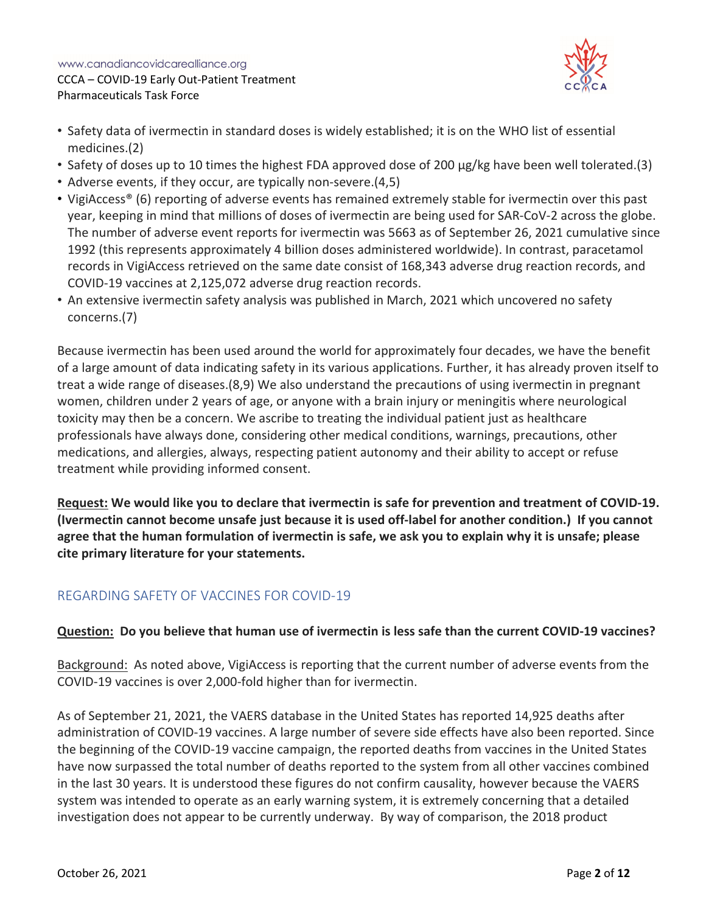

- Safety data of ivermectin in standard doses is widely established; it is on the WHO list of essential medicines.(2)
- Safety of doses up to 10 times the highest FDA approved dose of 200 µg/kg have been well tolerated.(3)
- Adverse events, if they occur, are typically non-severe.(4,5)
- VigiAccess® (6) reporting of adverse events has remained extremely stable for ivermectin over this past year, keeping in mind that millions of doses of ivermectin are being used for SAR-CoV-2 across the globe. The number of adverse event reports for ivermectin was 5663 as of September 26, 2021 cumulative since 1992 (this represents approximately 4 billion doses administered worldwide). In contrast, paracetamol records in VigiAccess retrieved on the same date consist of 168,343 adverse drug reaction records, and COVID-19 vaccines at 2,125,072 adverse drug reaction records.
- An extensive ivermectin safety analysis was published in March, 2021 which uncovered no safety concerns.(7)

Because ivermectin has been used around the world for approximately four decades, we have the benefit of a large amount of data indicating safety in its various applications. Further, it has already proven itself to treat a wide range of diseases.(8,9) We also understand the precautions of using ivermectin in pregnant women, children under 2 years of age, or anyone with a brain injury or meningitis where neurological toxicity may then be a concern. We ascribe to treating the individual patient just as healthcare professionals have always done, considering other medical conditions, warnings, precautions, other medications, and allergies, always, respecting patient autonomy and their ability to accept or refuse treatment while providing informed consent.

**Request: We would like you to declare that ivermectin is safe for prevention and treatment of COVID-19. (Ivermectin cannot become unsafe just because it is used off-label for another condition.) If you cannot agree that the human formulation of ivermectin is safe, we ask you to explain why it is unsafe; please cite primary literature for your statements.** 

# REGARDING SAFETY OF VACCINES FOR COVID-19

### **Question: Do you believe that human use of ivermectin is less safe than the current COVID-19 vaccines?**

Background: As noted above, VigiAccess is reporting that the current number of adverse events from the COVID-19 vaccines is over 2,000-fold higher than for ivermectin.

As of September 21, 2021, the VAERS database in the United States has reported 14,925 deaths after administration of COVID-19 vaccines. A large number of severe side effects have also been reported. Since the beginning of the COVID-19 vaccine campaign, the reported deaths from vaccines in the United States have now surpassed the total number of deaths reported to the system from all other vaccines combined in the last 30 years. It is understood these figures do not confirm causality, however because the VAERS system was intended to operate as an early warning system, it is extremely concerning that a detailed investigation does not appear to be currently underway. By way of comparison, the 2018 product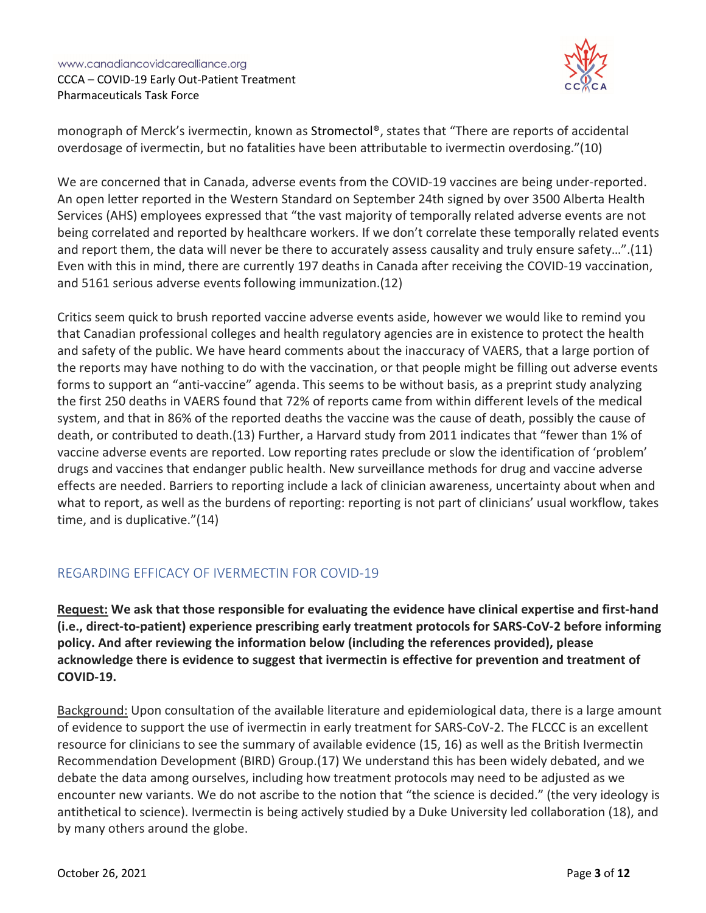

monograph of Merck's ivermectin, known as Stromectol®, states that "There are reports of accidental overdosage of ivermectin, but no fatalities have been attributable to ivermectin overdosing."(10)

We are concerned that in Canada, adverse events from the COVID-19 vaccines are being under-reported. An open letter reported in the Western Standard on September 24th signed by over 3500 Alberta Health Services (AHS) employees expressed that "the vast majority of temporally related adverse events are not being correlated and reported by healthcare workers. If we don't correlate these temporally related events and report them, the data will never be there to accurately assess causality and truly ensure safety…".(11) Even with this in mind, there are currently 197 deaths in Canada after receiving the COVID-19 vaccination, and 5161 serious adverse events following immunization.(12)

Critics seem quick to brush reported vaccine adverse events aside, however we would like to remind you that Canadian professional colleges and health regulatory agencies are in existence to protect the health and safety of the public. We have heard comments about the inaccuracy of VAERS, that a large portion of the reports may have nothing to do with the vaccination, or that people might be filling out adverse events forms to support an "anti-vaccine" agenda. This seems to be without basis, as a preprint study analyzing the first 250 deaths in VAERS found that 72% of reports came from within different levels of the medical system, and that in 86% of the reported deaths the vaccine was the cause of death, possibly the cause of death, or contributed to death.(13) Further, a Harvard study from 2011 indicates that "fewer than 1% of vaccine adverse events are reported. Low reporting rates preclude or slow the identification of 'problem' drugs and vaccines that endanger public health. New surveillance methods for drug and vaccine adverse effects are needed. Barriers to reporting include a lack of clinician awareness, uncertainty about when and what to report, as well as the burdens of reporting: reporting is not part of clinicians' usual workflow, takes time, and is duplicative."(14)

# REGARDING EFFICACY OF IVERMECTIN FOR COVID-19

**Request: We ask that those responsible for evaluating the evidence have clinical expertise and first-hand (i.e., direct-to-patient) experience prescribing early treatment protocols for SARS-CoV-2 before informing policy. And after reviewing the information below (including the references provided), please acknowledge there is evidence to suggest that ivermectin is effective for prevention and treatment of COVID-19.**

Background: Upon consultation of the available literature and epidemiological data, there is a large amount of evidence to support the use of ivermectin in early treatment for SARS-CoV-2. The FLCCC is an excellent resource for clinicians to see the summary of available evidence (15, 16) as well as the British Ivermectin Recommendation Development (BIRD) Group.(17) We understand this has been widely debated, and we debate the data among ourselves, including how treatment protocols may need to be adjusted as we encounter new variants. We do not ascribe to the notion that "the science is decided." (the very ideology is antithetical to science). Ivermectin is being actively studied by a Duke University led collaboration (18), and by many others around the globe.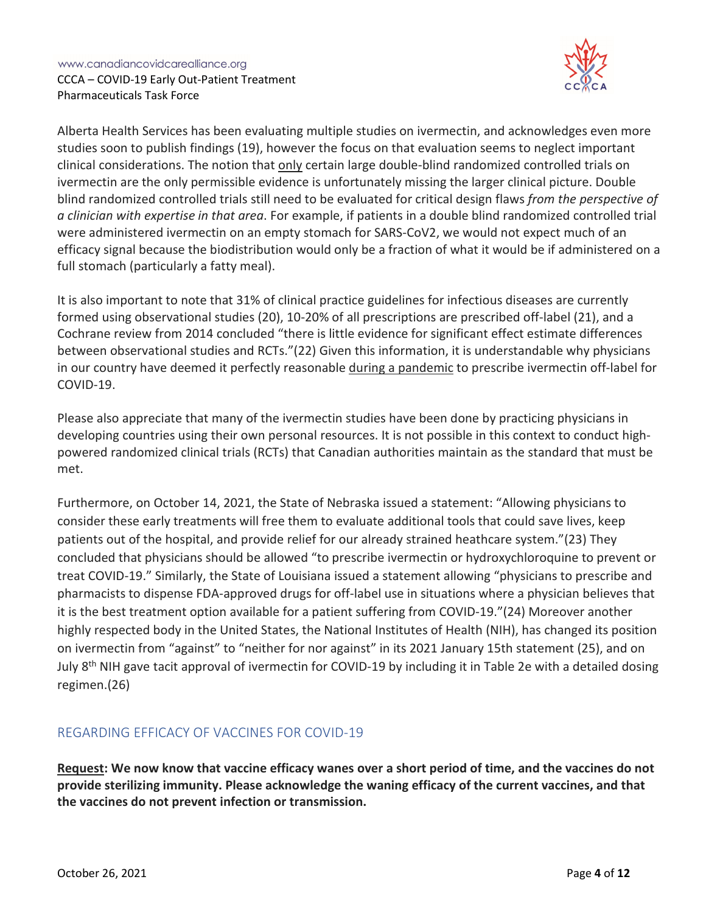

Alberta Health Services has been evaluating multiple studies on ivermectin, and acknowledges even more studies soon to publish findings (19), however the focus on that evaluation seems to neglect important clinical considerations. The notion that only certain large double-blind randomized controlled trials on ivermectin are the only permissible evidence is unfortunately missing the larger clinical picture. Double blind randomized controlled trials still need to be evaluated for critical design flaws *from the perspective of a clinician with expertise in that area*. For example, if patients in a double blind randomized controlled trial were administered ivermectin on an empty stomach for SARS-CoV2, we would not expect much of an efficacy signal because the biodistribution would only be a fraction of what it would be if administered on a full stomach (particularly a fatty meal).

It is also important to note that 31% of clinical practice guidelines for infectious diseases are currently formed using observational studies (20), 10-20% of all prescriptions are prescribed off-label (21), and a Cochrane review from 2014 concluded "there is little evidence for significant effect estimate differences between observational studies and RCTs."(22) Given this information, it is understandable why physicians in our country have deemed it perfectly reasonable during a pandemic to prescribe ivermectin off-label for COVID-19.

Please also appreciate that many of the ivermectin studies have been done by practicing physicians in developing countries using their own personal resources. It is not possible in this context to conduct highpowered randomized clinical trials (RCTs) that Canadian authorities maintain as the standard that must be met.

Furthermore, on October 14, 2021, the State of Nebraska issued a statement: "Allowing physicians to consider these early treatments will free them to evaluate additional tools that could save lives, keep patients out of the hospital, and provide relief for our already strained heathcare system."(23) They concluded that physicians should be allowed "to prescribe ivermectin or hydroxychloroquine to prevent or treat COVID-19." Similarly, the State of Louisiana issued a statement allowing "physicians to prescribe and pharmacists to dispense FDA-approved drugs for off-label use in situations where a physician believes that it is the best treatment option available for a patient suffering from COVID-19."(24) Moreover another highly respected body in the United States, the National Institutes of Health (NIH), has changed its position on ivermectin from "against" to "neither for nor against" in its 2021 January 15th statement (25), and on July 8<sup>th</sup> NIH gave tacit approval of ivermectin for COVID-19 by including it in Table 2e with a detailed dosing regimen.(26)

# REGARDING EFFICACY OF VACCINES FOR COVID-19

**Request: We now know that vaccine efficacy wanes over a short period of time, and the vaccines do not provide sterilizing immunity. Please acknowledge the waning efficacy of the current vaccines, and that the vaccines do not prevent infection or transmission.**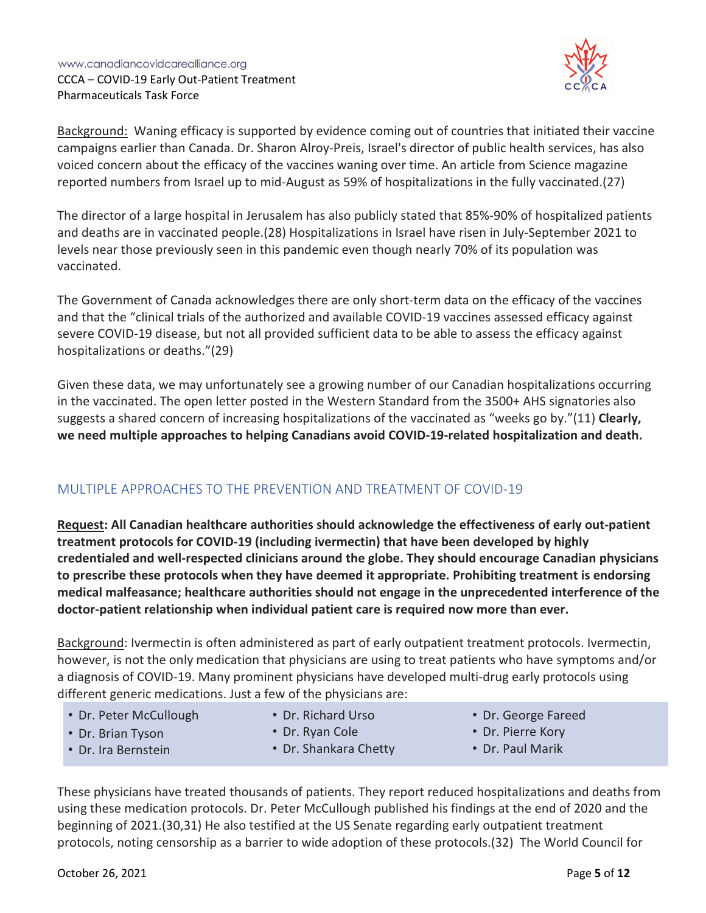

Background: Waning efficacy is supported by evidence coming out of countries that initiated their vaccine campaigns earlier than Canada. Dr. Sharon Alroy-Preis, Israel's director of public health services, has also voiced concern about the efficacy of the vaccines waning over time. An article from Science magazine reported numbers from Israel up to mid-August as 59% of hospitalizations in the fully vaccinated.(27)

The director of a large hospital in Jerusalem has also publicly stated that 85%-90% of hospitalized patients and deaths are in vaccinated people.(28) Hospitalizations in Israel have risen in July-September 2021 to levels near those previously seen in this pandemic even though nearly 70% of its population was vaccinated.

The Government of Canada acknowledges there are only short-term data on the efficacy of the vaccines and that the "clinical trials of the authorized and available COVID-19 vaccines assessed efficacy against severe COVID-19 disease, but not all provided sufficient data to be able to assess the efficacy against hospitalizations or deaths."(29)

Given these data, we may unfortunately see a growing number of our Canadian hospitalizations occurring in the vaccinated. The open letter posted in the Western Standard from the 3500+ AHS signatories also suggests a shared concern of increasing hospitalizations of the vaccinated as "weeks go by."(11) **Clearly, we need multiple approaches to helping Canadians avoid COVID-19-related hospitalization and death.**

# MULTIPLE APPROACHES TO THE PREVENTION AND TREATMENT OF COVID-19

**Request: All Canadian healthcare authorities should acknowledge the effectiveness of early out-patient treatment protocols for COVID-19 (including ivermectin) that have been developed by highly credentialed and well-respected clinicians around the globe. They should encourage Canadian physicians to prescribe these protocols when they have deemed it appropriate. Prohibiting treatment is endorsing medical malfeasance; healthcare authorities should not engage in the unprecedented interference of the doctor-patient relationship when individual patient care is required now more than ever.**

Background: Ivermectin is often administered as part of early outpatient treatment protocols. Ivermectin, however, is not the only medication that physicians are using to treat patients who have symptoms and/or a diagnosis of COVID-19. Many prominent physicians have developed multi-drug early protocols using different generic medications. Just a few of the physicians are:

- Dr. Peter McCullough
- Dr. Richard Urso
- Dr. George Fareed
- Dr. Pierre Kory

• Dr. Brian Tyson • Dr. Ira Bernstein

- Dr. Ryan Cole
- Dr. Shankara Chetty
- 
- Dr. Paul Marik

These physicians have treated thousands of patients. They report reduced hospitalizations and deaths from using these medication protocols. Dr. Peter McCullough published his findings at the end of 2020 and the beginning of 2021.(30,31) He also testified at the US Senate regarding early outpatient treatment protocols, noting censorship as a barrier to wide adoption of these protocols.(32) The World Council for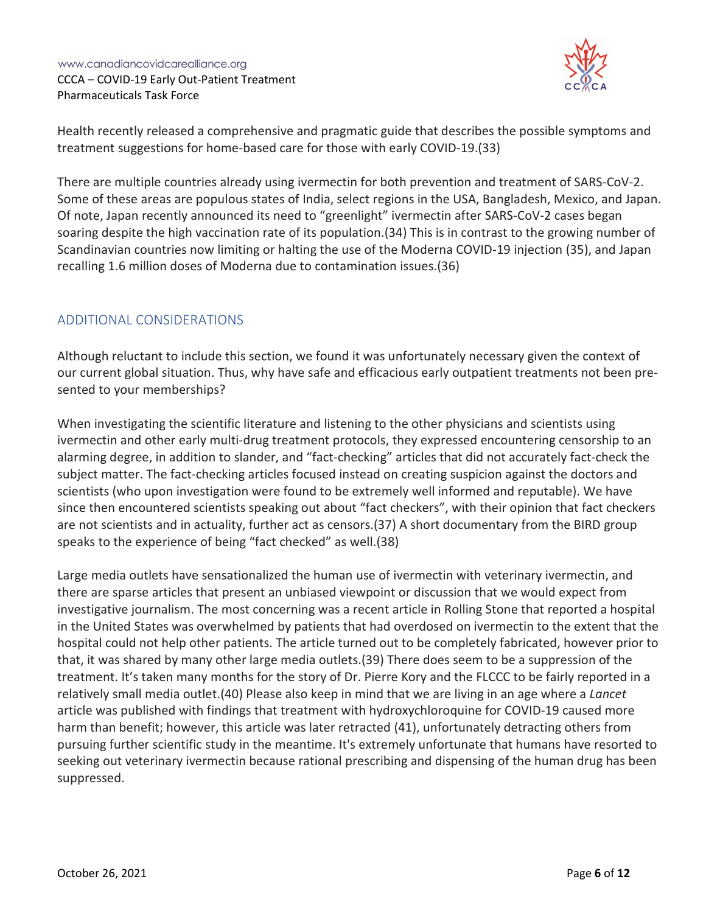

Health recently released a comprehensive and pragmatic guide that describes the possible symptoms and treatment suggestions for home-based care for those with early COVID-19.(33)

There are multiple countries already using ivermectin for both prevention and treatment of SARS-CoV-2. Some of these areas are populous states of India, select regions in the USA, Bangladesh, Mexico, and Japan. Of note, Japan recently announced its need to "greenlight" ivermectin after SARS-CoV-2 cases began soaring despite the high vaccination rate of its population.(34) This is in contrast to the growing number of Scandinavian countries now limiting or halting the use of the Moderna COVID-19 injection (35), and Japan recalling 1.6 million doses of Moderna due to contamination issues.(36)

### ADDITIONAL CONSIDERATIONS

Although reluctant to include this section, we found it was unfortunately necessary given the context of our current global situation. Thus, why have safe and efficacious early outpatient treatments not been presented to your memberships?

When investigating the scientific literature and listening to the other physicians and scientists using ivermectin and other early multi-drug treatment protocols, they expressed encountering censorship to an alarming degree, in addition to slander, and "fact-checking" articles that did not accurately fact-check the subject matter. The fact-checking articles focused instead on creating suspicion against the doctors and scientists (who upon investigation were found to be extremely well informed and reputable). We have since then encountered scientists speaking out about "fact checkers", with their opinion that fact checkers are not scientists and in actuality, further act as censors.(37) A short documentary from the BIRD group speaks to the experience of being "fact checked" as well.(38)

Large media outlets have sensationalized the human use of ivermectin with veterinary ivermectin, and there are sparse articles that present an unbiased viewpoint or discussion that we would expect from investigative journalism. The most concerning was a recent article in Rolling Stone that reported a hospital in the United States was overwhelmed by patients that had overdosed on ivermectin to the extent that the hospital could not help other patients. The article turned out to be completely fabricated, however prior to that, it was shared by many other large media outlets.(39) There does seem to be a suppression of the treatment. It's taken many months for the story of Dr. Pierre Kory and the FLCCC to be fairly reported in a relatively small media outlet.(40) Please also keep in mind that we are living in an age where a *Lancet* article was published with findings that treatment with hydroxychloroquine for COVID-19 caused more harm than benefit; however, this article was later retracted (41), unfortunately detracting others from pursuing further scientific study in the meantime. It's extremely unfortunate that humans have resorted to seeking out veterinary ivermectin because rational prescribing and dispensing of the human drug has been suppressed.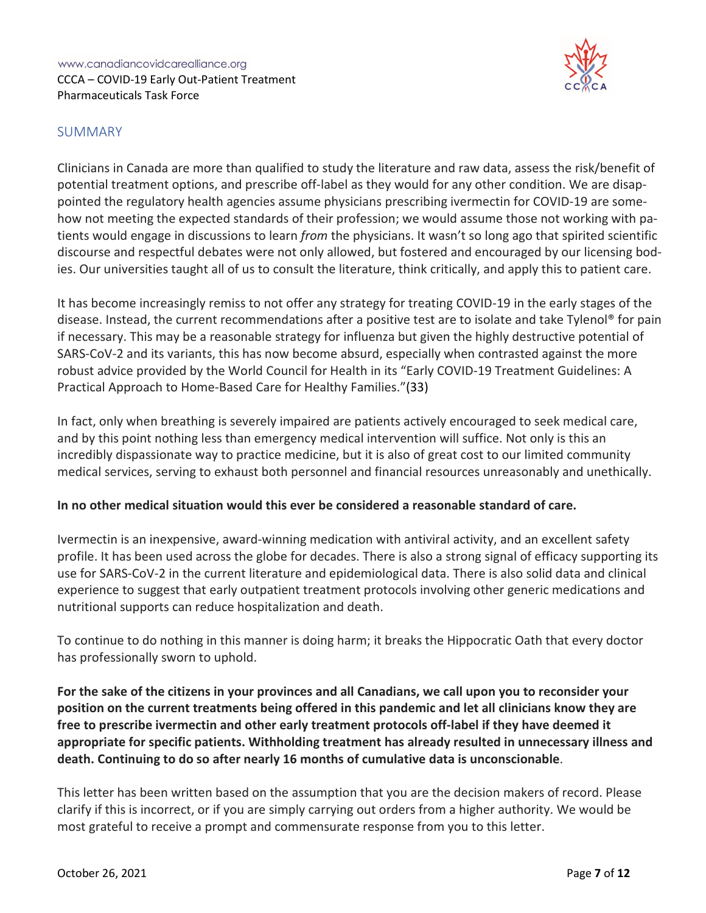

### SUMMARY

Clinicians in Canada are more than qualified to study the literature and raw data, assess the risk/benefit of potential treatment options, and prescribe off-label as they would for any other condition. We are disappointed the regulatory health agencies assume physicians prescribing ivermectin for COVID-19 are somehow not meeting the expected standards of their profession; we would assume those not working with patients would engage in discussions to learn *from* the physicians. It wasn't so long ago that spirited scientific discourse and respectful debates were not only allowed, but fostered and encouraged by our licensing bodies. Our universities taught all of us to consult the literature, think critically, and apply this to patient care.

It has become increasingly remiss to not offer any strategy for treating COVID-19 in the early stages of the disease. Instead, the current recommendations after a positive test are to isolate and take Tylenol® for pain if necessary. This may be a reasonable strategy for influenza but given the highly destructive potential of SARS-CoV-2 and its variants, this has now become absurd, especially when contrasted against the more robust advice provided by the World Council for Health in its "Early COVID-19 Treatment Guidelines: A Practical Approach to Home-Based Care for Healthy Families."(33)

In fact, only when breathing is severely impaired are patients actively encouraged to seek medical care, and by this point nothing less than emergency medical intervention will suffice. Not only is this an incredibly dispassionate way to practice medicine, but it is also of great cost to our limited community medical services, serving to exhaust both personnel and financial resources unreasonably and unethically.

#### **In no other medical situation would this ever be considered a reasonable standard of care.**

Ivermectin is an inexpensive, award-winning medication with antiviral activity, and an excellent safety profile. It has been used across the globe for decades. There is also a strong signal of efficacy supporting its use for SARS-CoV-2 in the current literature and epidemiological data. There is also solid data and clinical experience to suggest that early outpatient treatment protocols involving other generic medications and nutritional supports can reduce hospitalization and death.

To continue to do nothing in this manner is doing harm; it breaks the Hippocratic Oath that every doctor has professionally sworn to uphold.

**For the sake of the citizens in your provinces and all Canadians, we call upon you to reconsider your position on the current treatments being offered in this pandemic and let all clinicians know they are free to prescribe ivermectin and other early treatment protocols off-label if they have deemed it appropriate for specific patients. Withholding treatment has already resulted in unnecessary illness and death. Continuing to do so after nearly 16 months of cumulative data is unconscionable**.

This letter has been written based on the assumption that you are the decision makers of record. Please clarify if this is incorrect, or if you are simply carrying out orders from a higher authority. We would be most grateful to receive a prompt and commensurate response from you to this letter.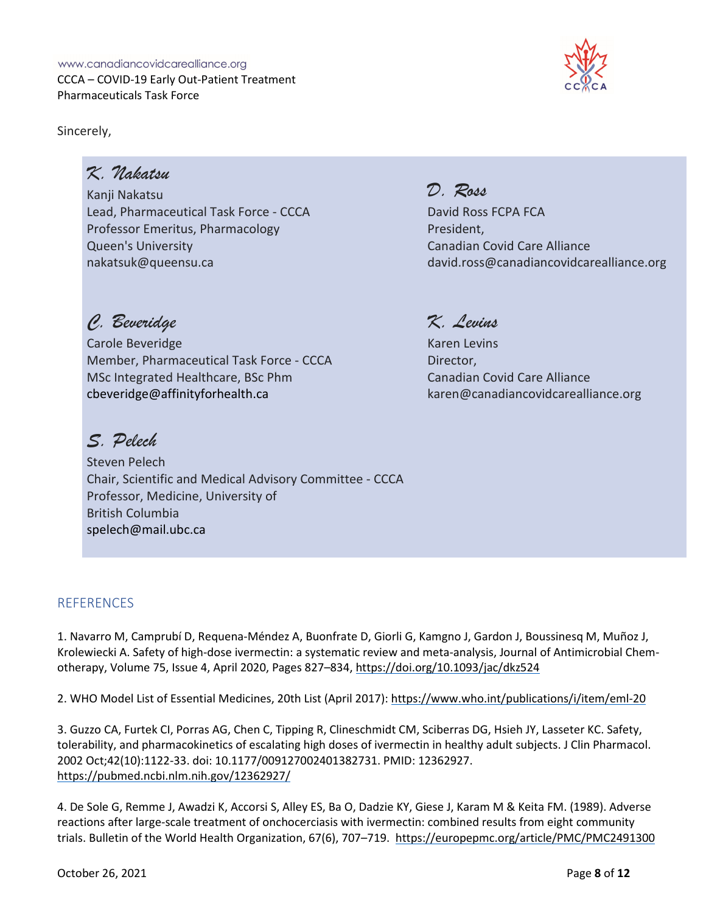Sincerely,



# *K. Nakatsu*

Kanji Nakatsu Lead, Pharmaceutical Task Force - CCCA Professor Emeritus, Pharmacology Queen's University nakatsuk@queensu.ca

# *C. Beveridge*

Carole Beveridge Member, Pharmaceutical Task Force - CCCA MSc Integrated Healthcare, BSc Phm cbeveridge@affinityforhealth.ca

# *S. Pelech*

Steven Pelech Chair, Scientific and Medical Advisory Committee - CCCA Professor, Medicine, University of British Columbia spelech@mail.ubc.ca

# **REFERENCES**

1. Navarro M, Camprubí D, Requena-Méndez A, Buonfrate D, Giorli G, Kamgno J, Gardon J, Boussinesq M, Muñoz J, Krolewiecki A. Safety of high-dose ivermectin: a systematic review and meta-analysis, Journal of Antimicrobial Chemotherapy, Volume 75, Issue 4, April 2020, Pages 827–834, https://doi.org/10.1093/jac/dkz524

2. WHO Model List of Essential Medicines, 20th List (April 2017): https://www.who.int/publications/i/item/eml-20

3. Guzzo CA, Furtek CI, Porras AG, Chen C, Tipping R, Clineschmidt CM, Sciberras DG, Hsieh JY, Lasseter KC. Safety, tolerability, and pharmacokinetics of escalating high doses of ivermectin in healthy adult subjects. J Clin Pharmacol. 2002 Oct;42(10):1122-33. doi: 10.1177/009127002401382731. PMID: 12362927. https://pubmed.ncbi.nlm.nih.gov/12362927/

4. De Sole G, Remme J, Awadzi K, Accorsi S, Alley ES, Ba O, Dadzie KY, Giese J, Karam M & Keita FM. (1989). Adverse reactions after large-scale treatment of onchocerciasis with ivermectin: combined results from eight community trials. Bulletin of the World Health Organization, 67(6), 707–719. https://europepmc.org/article/PMC/PMC2491300

# *K. Levins*

*D. Ross*

President,

David Ross FCPA FCA

Canadian Covid Care Alliance

Karen Levins Director, Canadian Covid Care Alliance karen@canadiancovidcarealliance.org

david.ross@canadiancovidcarealliance.org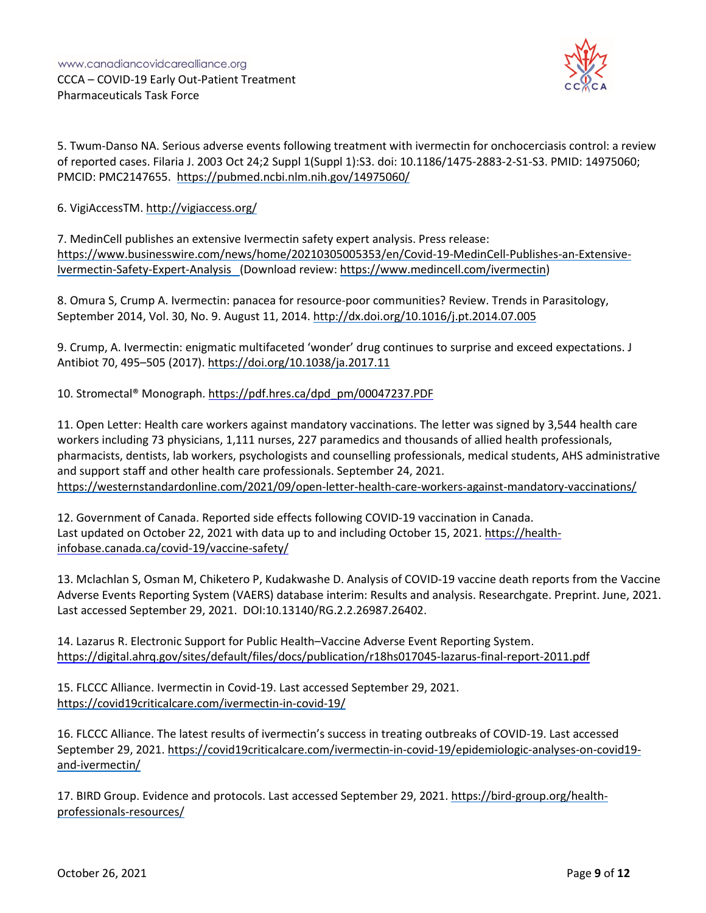

5. Twum-Danso NA. Serious adverse events following treatment with ivermectin for onchocerciasis control: a review of reported cases. Filaria J. 2003 Oct 24;2 Suppl 1(Suppl 1):S3. doi: 10.1186/1475-2883-2-S1-S3. PMID: 14975060; PMCID: PMC2147655. https://pubmed.ncbi.nlm.nih.gov/14975060/

6. VigiAccessTM. http://vigiaccess.org/

7. MedinCell publishes an extensive Ivermectin safety expert analysis. Press release: https://www.businesswire.com/news/home/20210305005353/en/Covid-19-MedinCell-Publishes-an-Extensive-Ivermectin-Safety-Expert-Analysis (Download review: https://www.medincell.com/ivermectin)

8. Omura S, Crump A. Ivermectin: panacea for resource-poor communities? Review. Trends in Parasitology, September 2014, Vol. 30, No. 9. August 11, 2014. http://dx.doi.org/10.1016/j.pt.2014.07.005

9. Crump, A. Ivermectin: enigmatic multifaceted 'wonder' drug continues to surprise and exceed expectations. J Antibiot 70, 495–505 (2017). https://doi.org/10.1038/ja.2017.11

10. Stromectal® Monograph. https://pdf.hres.ca/dpd\_pm/00047237.PDF

11. Open Letter: Health care workers against mandatory vaccinations. The letter was signed by 3,544 health care workers including 73 physicians, 1,111 nurses, 227 paramedics and thousands of allied health professionals, pharmacists, dentists, lab workers, psychologists and counselling professionals, medical students, AHS administrative and support staff and other health care professionals. September 24, 2021. https://westernstandardonline.com/2021/09/open-letter-health-care-workers-against-mandatory-vaccinations/

12. Government of Canada. Reported side effects following COVID-19 vaccination in Canada. Last updated on October 22, 2021 with data up to and including October 15, 2021. https://healthinfobase.canada.ca/covid-19/vaccine-safety/

13. Mclachlan S, Osman M, Chiketero P, Kudakwashe D. Analysis of COVID-19 vaccine death reports from the Vaccine Adverse Events Reporting System (VAERS) database interim: Results and analysis. Researchgate. Preprint. June, 2021. Last accessed September 29, 2021. DOI:10.13140/RG.2.2.26987.26402.

14. Lazarus R. Electronic Support for Public Health–Vaccine Adverse Event Reporting System. https://digital.ahrq.gov/sites/default/files/docs/publication/r18hs017045-lazarus-final-report-2011.pdf

15. FLCCC Alliance. Ivermectin in Covid-19. Last accessed September 29, 2021. https://covid19criticalcare.com/ivermectin-in-covid-19/

16. FLCCC Alliance. The latest results of ivermectin's success in treating outbreaks of COVID-19. Last accessed September 29, 2021. https://covid19criticalcare.com/ivermectin-in-covid-19/epidemiologic-analyses-on-covid19 and-ivermectin/

17. BIRD Group. Evidence and protocols. Last accessed September 29, 2021. https://bird-group.org/healthprofessionals-resources/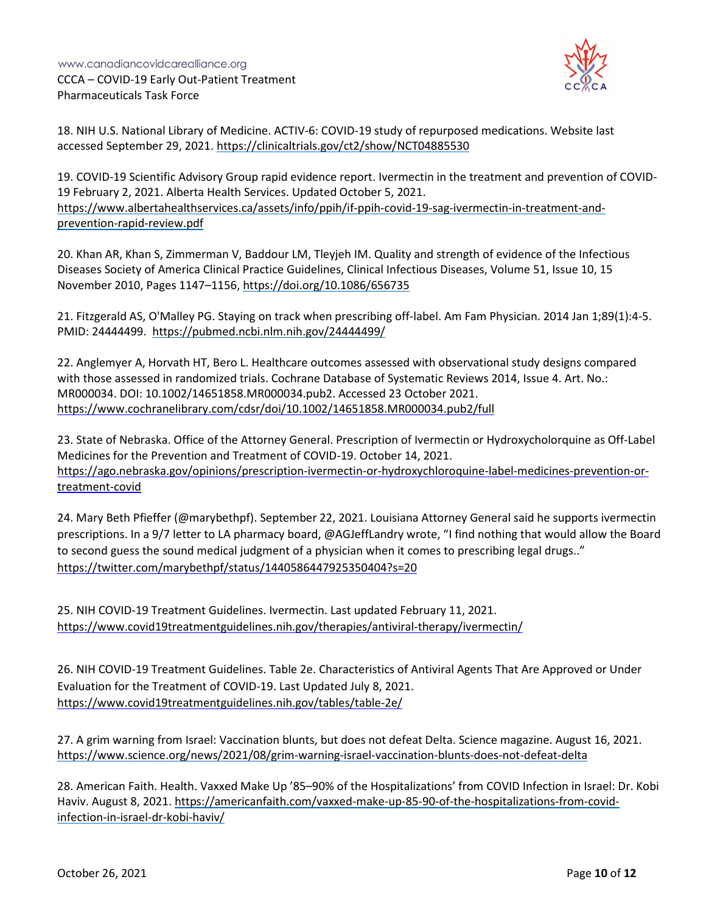

18. NIH U.S. National Library of Medicine. ACTIV-6: COVID-19 study of repurposed medications. Website last accessed September 29, 2021. https://clinicaltrials.gov/ct2/show/NCT04885530

19. COVID-19 Scientific Advisory Group rapid evidence report. Ivermectin in the treatment and prevention of COVID-19 February 2, 2021. Alberta Health Services. Updated October 5, 2021. https://www.albertahealthservices.ca/assets/info/ppih/if-ppih-covid-19-sag-ivermectin-in-treatment-andprevention-rapid-review.pdf

20. Khan AR, Khan S, Zimmerman V, Baddour LM, Tleyjeh IM. Quality and strength of evidence of the Infectious Diseases Society of America Clinical Practice Guidelines, Clinical Infectious Diseases, Volume 51, Issue 10, 15 November 2010, Pages 1147–1156, https://doi.org/10.1086/656735

21. Fitzgerald AS, O'Malley PG. Staying on track when prescribing off-label. Am Fam Physician. 2014 Jan 1;89(1):4-5. PMID: 24444499. https://pubmed.ncbi.nlm.nih.gov/24444499/

22. Anglemyer A, Horvath HT, Bero L. Healthcare outcomes assessed with observational study designs compared with those assessed in randomized trials. Cochrane Database of Systematic Reviews 2014, Issue 4. Art. No.: MR000034. DOI: 10.1002/14651858.MR000034.pub2. Accessed 23 October 2021. https://www.cochranelibrary.com/cdsr/doi/10.1002/14651858.MR000034.pub2/full

23. State of Nebraska. Office of the Attorney General. Prescription of Ivermectin or Hydroxycholorquine as Off-Label Medicines for the Prevention and Treatment of COVID-19. October 14, 2021. https://ago.nebraska.gov/opinions/prescription-ivermectin-or-hydroxychloroquine-label-medicines-prevention-ortreatment-covid

24. Mary Beth Pfieffer (@marybethpf). September 22, 2021. Louisiana Attorney General said he supports ivermectin prescriptions. In a 9/7 letter to LA pharmacy board, @AGJeffLandry wrote, "I find nothing that would allow the Board to second guess the sound medical judgment of a physician when it comes to prescribing legal drugs.." https://twitter.com/marybethpf/status/1440586447925350404?s=20

25. NIH COVID-19 Treatment Guidelines. Ivermectin. Last updated February 11, 2021. https://www.covid19treatmentguidelines.nih.gov/therapies/antiviral-therapy/ivermectin/

26. NIH COVID-19 Treatment Guidelines. Table 2e. Characteristics of Antiviral Agents That Are Approved or Under Evaluation for the Treatment of COVID-19. Last Updated July 8, 2021. https://www.covid19treatmentguidelines.nih.gov/tables/table-2e/

27. A grim warning from Israel: Vaccination blunts, but does not defeat Delta. Science magazine. August 16, 2021. https://www.science.org/news/2021/08/grim-warning-israel-vaccination-blunts-does-not-defeat-delta

28. American Faith. Health. Vaxxed Make Up '85–90% of the Hospitalizations' from COVID Infection in Israel: Dr. Kobi Haviv. August 8, 2021. https://americanfaith.com/vaxxed-make-up-85-90-of-the-hospitalizations-from-covidinfection-in-israel-dr-kobi-haviv/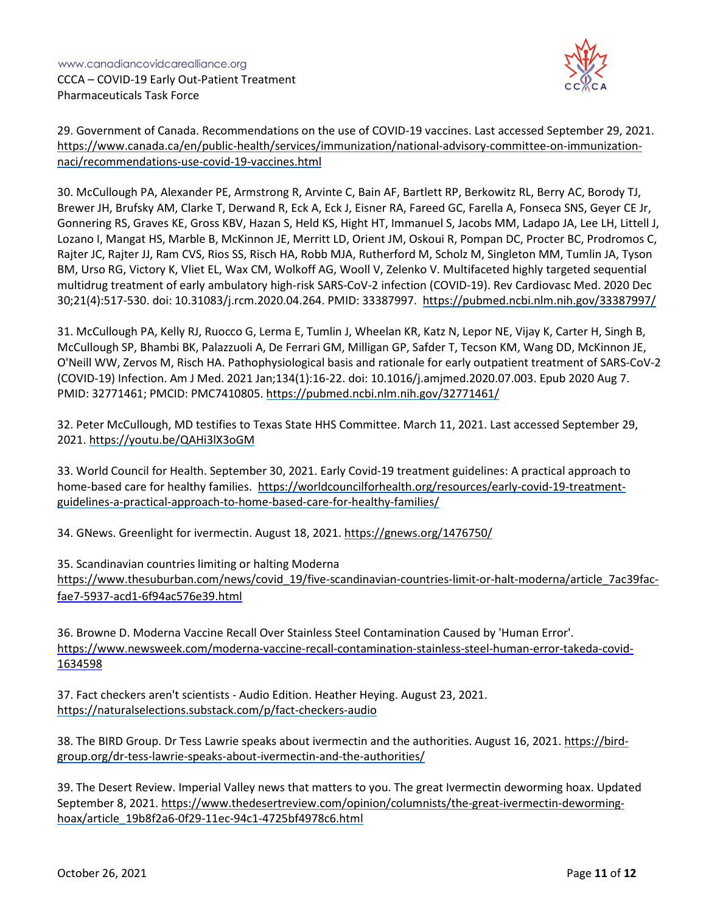

29. Government of Canada. Recommendations on the use of COVID-19 vaccines. Last accessed September 29, 2021. https://www.canada.ca/en/public-health/services/immunization/national-advisory-committee-on-immunizationnaci/recommendations-use-covid-19-vaccines.html

30. McCullough PA, Alexander PE, Armstrong R, Arvinte C, Bain AF, Bartlett RP, Berkowitz RL, Berry AC, Borody TJ, Brewer JH, Brufsky AM, Clarke T, Derwand R, Eck A, Eck J, Eisner RA, Fareed GC, Farella A, Fonseca SNS, Geyer CE Jr, Gonnering RS, Graves KE, Gross KBV, Hazan S, Held KS, Hight HT, Immanuel S, Jacobs MM, Ladapo JA, Lee LH, Littell J, Lozano I, Mangat HS, Marble B, McKinnon JE, Merritt LD, Orient JM, Oskoui R, Pompan DC, Procter BC, Prodromos C, Rajter JC, Rajter JJ, Ram CVS, Rios SS, Risch HA, Robb MJA, Rutherford M, Scholz M, Singleton MM, Tumlin JA, Tyson BM, Urso RG, Victory K, Vliet EL, Wax CM, Wolkoff AG, Wooll V, Zelenko V. Multifaceted highly targeted sequential multidrug treatment of early ambulatory high-risk SARS-CoV-2 infection (COVID-19). Rev Cardiovasc Med. 2020 Dec 30;21(4):517-530. doi: 10.31083/j.rcm.2020.04.264. PMID: 33387997. https://pubmed.ncbi.nlm.nih.gov/33387997/

31. McCullough PA, Kelly RJ, Ruocco G, Lerma E, Tumlin J, Wheelan KR, Katz N, Lepor NE, Vijay K, Carter H, Singh B, McCullough SP, Bhambi BK, Palazzuoli A, De Ferrari GM, Milligan GP, Safder T, Tecson KM, Wang DD, McKinnon JE, O'Neill WW, Zervos M, Risch HA. Pathophysiological basis and rationale for early outpatient treatment of SARS-CoV-2 (COVID-19) Infection. Am J Med. 2021 Jan;134(1):16-22. doi: 10.1016/j.amjmed.2020.07.003. Epub 2020 Aug 7. PMID: 32771461; PMCID: PMC7410805. https://pubmed.ncbi.nlm.nih.gov/32771461/

32. Peter McCullough, MD testifies to Texas State HHS Committee. March 11, 2021. Last accessed September 29, 2021. https://youtu.be/QAHi3lX3oGM

33. World Council for Health. September 30, 2021. Early Covid-19 treatment guidelines: A practical approach to home-based care for healthy families. https://worldcouncilforhealth.org/resources/early-covid-19-treatmentguidelines-a-practical-approach-to-home-based-care-for-healthy-families/

34. GNews. Greenlight for ivermectin. August 18, 2021. https://gnews.org/1476750/

35. Scandinavian countries limiting or halting Moderna

https://www.thesuburban.com/news/covid\_19/five-scandinavian-countries-limit-or-halt-moderna/article\_7ac39facfae7-5937-acd1-6f94ac576e39.html

36. Browne D. Moderna Vaccine Recall Over Stainless Steel Contamination Caused by 'Human Error'. https://www.newsweek.com/moderna-vaccine-recall-contamination-stainless-steel-human-error-takeda-covid-1634598

37. Fact checkers aren't scientists - Audio Edition. Heather Heying. August 23, 2021. https://naturalselections.substack.com/p/fact-checkers-audio

38. The BIRD Group. Dr Tess Lawrie speaks about ivermectin and the authorities. August 16, 2021. https://birdgroup.org/dr-tess-lawrie-speaks-about-ivermectin-and-the-authorities/

39. The Desert Review. Imperial Valley news that matters to you. The great Ivermectin deworming hoax. Updated September 8, 2021. https://www.thedesertreview.com/opinion/columnists/the-great-ivermectin-deworminghoax/article\_19b8f2a6-0f29-11ec-94c1-4725bf4978c6.html